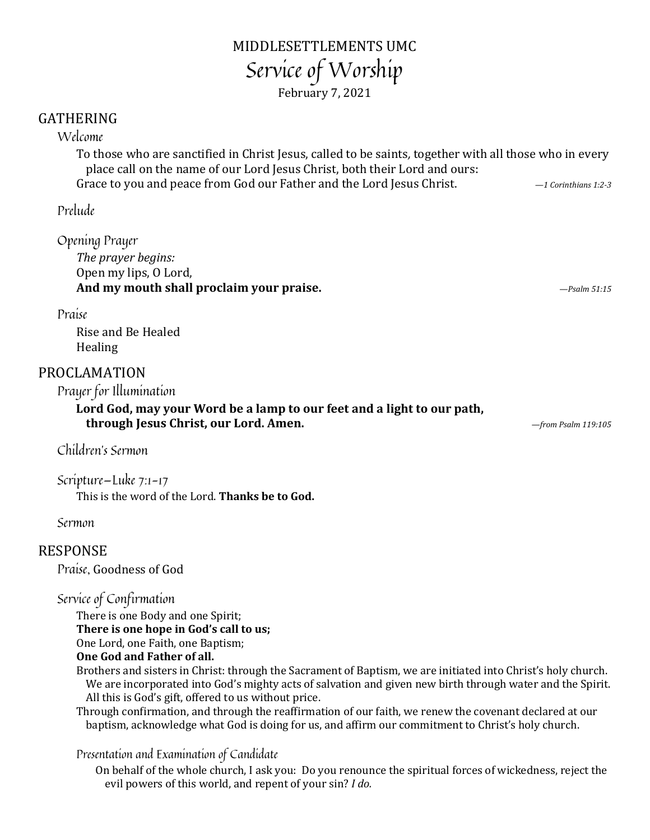## MIDDLESETTLEMENTS UMC Service of Worship February 7, 2021

### GATHERING

#### Welcome

To those who are sanctified in Christ Jesus, called to be saints*,* together with all those who in every place call on the name of our Lord Jesus Christ, both their Lord and ours: Grace to you and peace from God our Father and the Lord Jesus Christ. *—1 Corinthians 1:2-3*

Prelude

Opening Prayer *The prayer begins:* Open my lips, O Lord, **And my mouth shall proclaim your praise.** *—Psalm 51:15*

Praise

Rise and Be Healed Healing

#### PROCLAMATION

Prayer for Illumination

**Lord God, may your Word be a lamp to our feet and a light to our path, through Jesus Christ, our Lord. Amen.** *—from Psalm 119:105*

Children's Sermon

Scripture—Luke 7:1-17 This is the word of the Lord. **Thanks be to God.**

Sermon

#### RESPONSE

Praise, Goodness of God

Service of Confirmation

There is one Body and one Spirit; **There is one hope in God's call to us;** One Lord, one Faith, one Baptism; **One God and Father of all.**

Brothers and sisters in Christ: through the Sacrament of Baptism, we are initiated into Christ's holy church. We are incorporated into God's mighty acts of salvation and given new birth through water and the Spirit. All this is God's gift, offered to us without price.

Through confirmation, and through the reaffirmation of our faith, we renew the covenant declared at our baptism, acknowledge what God is doing for us, and affirm our commitment to Christ's holy church.

#### Presentation and Examination of Candidate

On behalf of the whole church, I ask you: Do you renounce the spiritual forces of wickedness, reject the evil powers of this world, and repent of your sin? *I do.*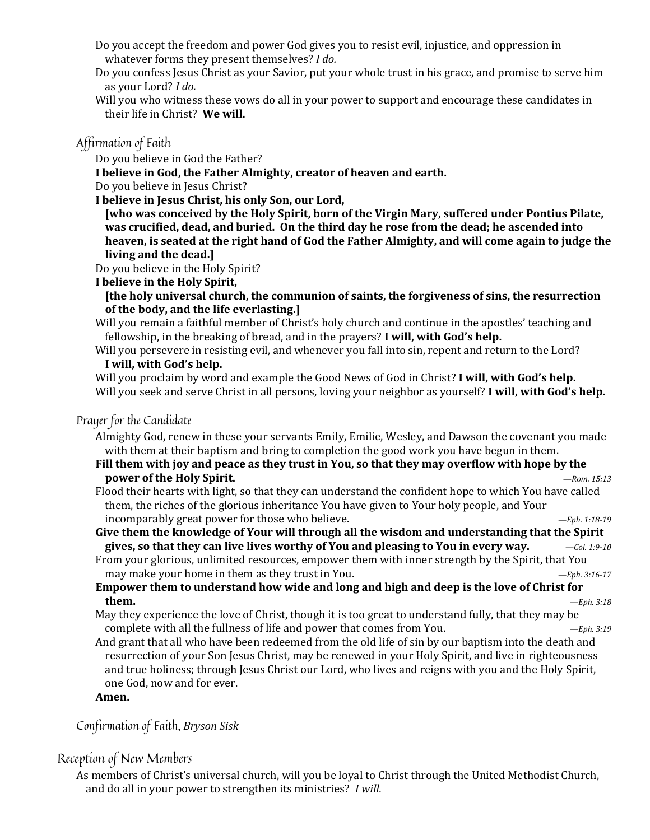- Do you accept the freedom and power God gives you to resist evil, injustice, and oppression in whatever forms they present themselves? *I do.*
- Do you confess Jesus Christ as your Savior, put your whole trust in his grace, and promise to serve him as your Lord? *I do.*
- Will you who witness these vows do all in your power to support and encourage these candidates in their life in Christ? **We will.**

#### Affirmation of Faith

Do you believe in God the Father?

**I believe in God, the Father Almighty, creator of heaven and earth.**

Do you believe in Jesus Christ?

**I believe in Jesus Christ, his only Son, our Lord,** 

**[who was conceived by the Holy Spirit, born of the Virgin Mary, suffered under Pontius Pilate, was crucified, dead, and buried. On the third day he rose from the dead; he ascended into heaven, is seated at the right hand of God the Father Almighty, and will come again to judge the living and the dead.]**

Do you believe in the Holy Spirit?

#### **I believe in the Holy Spirit,**

**[the holy universal church, the communion of saints, the forgiveness of sins, the resurrection of the body, and the life everlasting.]**

- Will you remain a faithful member of Christ's holy church and continue in the apostles' teaching and fellowship, in the breaking of bread, and in the prayers? **I will, with God's help.**
- Will you persevere in resisting evil, and whenever you fall into sin, repent and return to the Lord? **I will, with God's help.**

Will you proclaim by word and example the Good News of God in Christ? **I will, with God's help.** Will you seek and serve Christ in all persons, loving your neighbor as yourself? **I will, with God's help.**

#### Prayer for the Candidate

Almighty God, renew in these your servants Emily, Emilie, Wesley, and Dawson the covenant you made with them at their baptism and bring to completion the good work you have begun in them.

- **Fill them with joy and peace as they trust in You, so that they may overflow with hope by the power of the Holy Spirit.** *—Rom. 15:13*
- Flood their hearts with light, so that they can understand the confident hope to which You have called them, the riches of the glorious inheritance You have given to Your holy people, and Your incomparably great power for those who believe. *—Eph. 1:18-19*

**Give them the knowledge of Your will through all the wisdom and understanding that the Spirit gives, so that they can live lives worthy of You and pleasing to You in every way.** *—Col. 1:9-10*

From your glorious, unlimited resources, empower them with inner strength by the Spirit, that You may make your home in them as they trust in You. *—Eph. 3:16-17*

#### **Empower them to understand how wide and long and high and deep is the love of Christ for them.** *—Eph. 3:18*

- May they experience the love of Christ, though it is too great to understand fully, that they may be complete with all the fullness of life and power that comes from You. *—Eph. 3:19*
- And grant that all who have been redeemed from the old life of sin by our baptism into the death and resurrection of your Son Jesus Christ, may be renewed in your Holy Spirit, and live in righteousness and true holiness; through Jesus Christ our Lord, who lives and reigns with you and the Holy Spirit, one God, now and for ever.

#### **Amen.**

Confirmation of Faith, *Bryson Sisk*

#### Reception of New Members

As members of Christ's universal church, will you be loyal to Christ through the United Methodist Church, and do all in your power to strengthen its ministries? *I will.*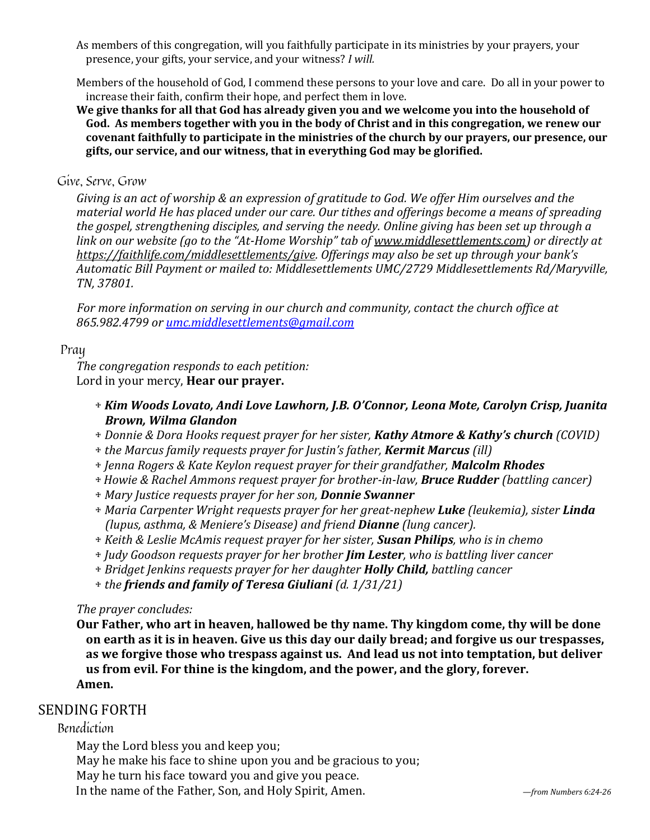As members of this congregation, will you faithfully participate in its ministries by your prayers, your presence, your gifts, your service, and your witness? *I will.*

Members of the household of God, I commend these persons to your love and care. Do all in your power to increase their faith, confirm their hope, and perfect them in love.

**We give thanks for all that God has already given you and we welcome you into the household of God. As members together with you in the body of Christ and in this congregation, we renew our covenant faithfully to participate in the ministries of the church by our prayers, our presence, our gifts, our service, and our witness, that in everything God may be glorified.**

#### Give, Serve, Grow

*Giving is an act of worship & an expression of gratitude to God. We offer Him ourselves and the material world He has placed under our care. Our tithes and offerings become a means of spreading the gospel, strengthening disciples, and serving the needy. Online giving has been set up through a link on our website (go to the "At-Home Worship" tab of [www.middlesettlements.com\)](http://www.middlesettlements.com/) or directly at [https://faithlife.com/middlesettlements/give.](https://faithlife.com/middlesettlements/give) Offerings may also be set up through your bank's Automatic Bill Payment or mailed to: Middlesettlements UMC/2729 Middlesettlements Rd/Maryville, TN, 37801.* 

*For more information on serving in our church and community, contact the church office at 865.982.4799 or [umc.middlesettlements@gmail.com](mailto:umc.middlesettlements@gmail.com)*

#### Pray

*The congregation responds to each petition:* Lord in your mercy, **Hear our prayer.**

- + *Kim Woods Lovato, Andi Love Lawhorn, J.B. O'Connor, Leona Mote, Carolyn Crisp, Juanita Brown, Wilma Glandon*
- + *Donnie & Dora Hooks request prayer for her sister, Kathy Atmore & Kathy's church (COVID)*
- + *the Marcus family requests prayer for Justin's father, Kermit Marcus (ill)*
- + *Jenna Rogers & Kate Keylon request prayer for their grandfather, Malcolm Rhodes*
- + *Howie & Rachel Ammons request prayer for brother-in-law, Bruce Rudder (battling cancer)*
- + *Mary Justice requests prayer for her son, Donnie Swanner*
- + *Maria Carpenter Wright requests prayer for her great-nephew Luke (leukemia), sister Linda (lupus, asthma, & Meniere's Disease) and friend Dianne (lung cancer).*
- + *Keith & Leslie McAmis request prayer for her sister, Susan Philips, who is in chemo*
- + *Judy Goodson requests prayer for her brother Jim Lester, who is battling liver cancer*
- + *Bridget Jenkins requests prayer for her daughter Holly Child, battling cancer*
- + *the friends and family of Teresa Giuliani (d. 1/31/21)*

#### *The prayer concludes:*

**Our Father, who art in heaven, hallowed be thy name. Thy kingdom come, thy will be done on earth as it is in heaven. Give us this day our daily bread; and forgive us our trespasses, as we forgive those who trespass against us. And lead us not into temptation, but deliver us from evil. For thine is the kingdom, and the power, and the glory, forever. Amen.** 

#### SENDING FORTH

#### Benediction

May the Lord bless you and keep you; May he make his face to shine upon you and be gracious to you; May he turn his face toward you and give you peace. In the name of the Father, Son, and Holy Spirit, Amen. *—from Numbers 6:24-26*